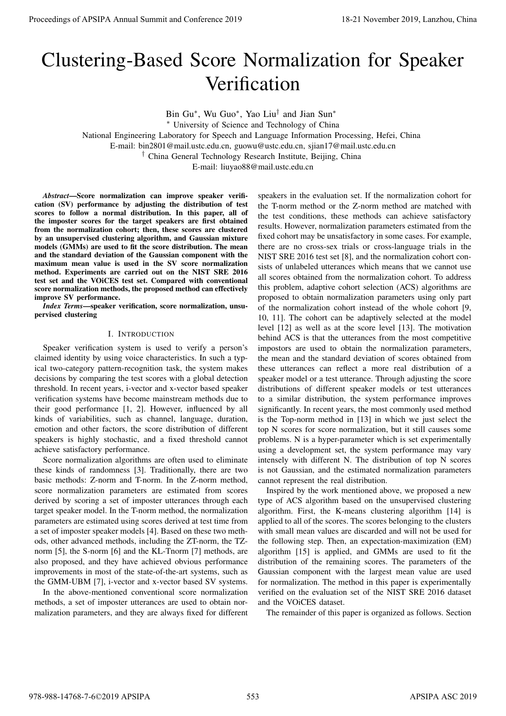# Clustering-Based Score Normalization for Speaker Verification

Bin Gu<sup>∗</sup> , Wu Guo<sup>∗</sup> , Yao Liu† and Jian Sun<sup>∗</sup> <sup>∗</sup> University of Science and Technology of China National Engineering Laboratory for Speech and Language Information Processing, Hefei, China E-mail: bin2801@mail.ustc.edu.cn, guowu@ustc.edu.cn, sjian17@mail.ustc.edu.cn † China General Technology Research Institute, Beijing, China E-mail: liuyao88@mail.ustc.edu.cn

*Abstract*—Score normalization can improve speaker verification (SV) performance by adjusting the distribution of test scores to follow a normal distribution. In this paper, all of the imposter scores for the target speakers are first obtained from the normalization cohort; then, these scores are clustered by an unsupervised clustering algorithm, and Gaussian mixture models (GMMs) are used to fit the score distribution. The mean and the standard deviation of the Gaussian component with the maximum mean value is used in the SV score normalization method. Experiments are carried out on the NIST SRE 2016 test set and the VOiCES test set. Compared with conventional score normalization methods, the proposed method can effectively improve SV performance.

*Index Terms*—speaker verification, score normalization, unsupervised clustering

## I. INTRODUCTION

Speaker verification system is used to verify a person's claimed identity by using voice characteristics. In such a typical two-category pattern-recognition task, the system makes decisions by comparing the test scores with a global detection threshold. In recent years, i-vector and x-vector based speaker verification systems have become mainstream methods due to their good performance [1, 2]. However, influenced by all kinds of variabilities, such as channel, language, duration, emotion and other factors, the score distribution of different speakers is highly stochastic, and a fixed threshold cannot achieve satisfactory performance.

Score normalization algorithms are often used to eliminate these kinds of randomness [3]. Traditionally, there are two basic methods: Z-norm and T-norm. In the Z-norm method, score normalization parameters are estimated from scores derived by scoring a set of imposter utterances through each target speaker model. In the T-norm method, the normalization parameters are estimated using scores derived at test time from a set of imposter speaker models [4]. Based on these two methods, other advanced methods, including the ZT-norm, the TZnorm [5], the S-norm [6] and the KL-Tnorm [7] methods, are also proposed, and they have achieved obvious performance improvements in most of the state-of-the-art systems, such as the GMM-UBM [7], i-vector and x-vector based SV systems.

In the above-mentioned conventional score normalization methods, a set of imposter utterances are used to obtain normalization parameters, and they are always fixed for different

speakers in the evaluation set. If the normalization cohort for the T-norm method or the Z-norm method are matched with the test conditions, these methods can achieve satisfactory results. However, normalization parameters estimated from the fixed cohort may be unsatisfactory in some cases. For example, there are no cross-sex trials or cross-language trials in the NIST SRE 2016 test set [8], and the normalization cohort consists of unlabeled utterances which means that we cannot use all scores obtained from the normalization cohort. To address this problem, adaptive cohort selection (ACS) algorithms are proposed to obtain normalization parameters using only part of the normalization cohort instead of the whole cohort [9, 10, 11]. The cohort can be adaptively selected at the model level [12] as well as at the score level [13]. The motivation behind ACS is that the utterances from the most competitive impostors are used to obtain the normalization parameters, the mean and the standard deviation of scores obtained from these utterances can reflect a more real distribution of a speaker model or a test utterance. Through adjusting the score distributions of different speaker models or test utterances to a similar distribution, the system performance improves significantly. In recent years, the most commonly used method is the Top-norm method in [13] in which we just select the top N scores for score normalization, but it still causes some problems. N is a hyper-parameter which is set experimentally using a development set, the system performance may vary intensely with different N. The distribution of top N scores is not Gaussian, and the estimated normalization parameters cannot represent the real distribution. **Proceedings of APSIPA Annual Summit and Conference 2019**<br> **Clustering -Bassed Score Normalizzation for Speaker**<br>
Figure 1. The conference 2018 Annual Summit and Lanzhou, China 978-988-14768-7-6.<br>
Handel Summit and Confer

Inspired by the work mentioned above, we proposed a new type of ACS algorithm based on the unsupervised clustering algorithm. First, the K-means clustering algorithm [14] is applied to all of the scores. The scores belonging to the clusters with small mean values are discarded and will not be used for the following step. Then, an expectation-maximization (EM) algorithm [15] is applied, and GMMs are used to fit the distribution of the remaining scores. The parameters of the Gaussian component with the largest mean value are used for normalization. The method in this paper is experimentally verified on the evaluation set of the NIST SRE 2016 dataset and the VOiCES dataset.

The remainder of this paper is organized as follows. Section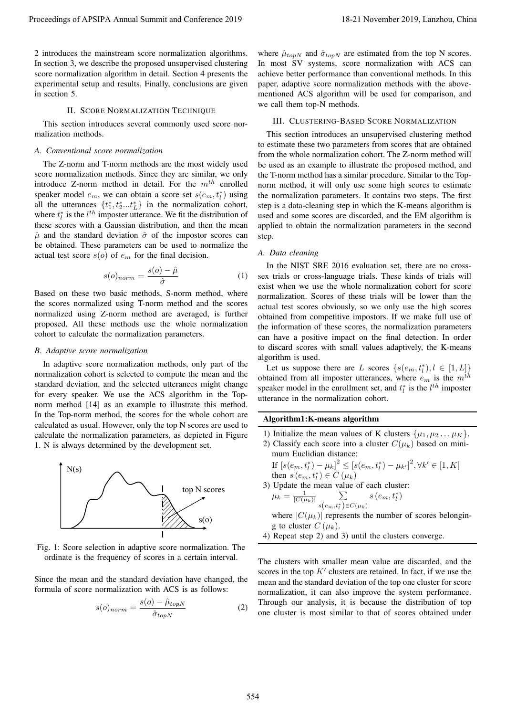2 introduces the mainstream score normalization algorithms. In section 3, we describe the proposed unsupervised clustering score normalization algorithm in detail. Section 4 presents the experimental setup and results. Finally, conclusions are given in section 5.

## II. SCORE NORMALIZATION TECHNIQUE

This section introduces several commonly used score normalization methods.

# *A. Conventional score normalization*

The Z-norm and T-norm methods are the most widely used score normalization methods. Since they are similar, we only introduce Z-norm method in detail. For the  $m^{th}$  enrolled speaker model  $e_m$ , we can obtain a score set  $s(e_m, t_l^*)$  using speaker moder  $e_m$ , we can obtain a score set  $s(e_m, t_l)$  using<br>all the utterances  $\{t_1^*, t_2^*, \dots t_L^*\}$  in the normalization cohort, where  $t_i^*$  is the  $l^{th}$  imposter utterance. We fit the distribution of these scores with a Gaussian distribution, and then the mean  $\hat{\mu}$  and the standard deviation  $\hat{\sigma}$  of the impostor scores can be obtained. These parameters can be used to normalize the actual test score  $s(o)$  of  $e_m$  for the final decision.

$$
s(o)_{norm} = \frac{s(o) - \hat{\mu}}{\hat{\sigma}} \tag{1}
$$

Based on these two basic methods, S-norm method, where the scores normalized using T-norm method and the scores normalized using Z-norm method are averaged, is further proposed. All these methods use the whole normalization cohort to calculate the normalization parameters.

## *B. Adaptive score normalization*

In adaptive score normalization methods, only part of the normalization cohort is selected to compute the mean and the standard deviation, and the selected utterances might change for every speaker. We use the ACS algorithm in the Topnorm method [14] as an example to illustrate this method. In the Top-norm method, the scores for the whole cohort are calculated as usual. However, only the top N scores are used to calculate the normalization parameters, as depicted in Figure 1. N is always determined by the development set.



Fig. 1: Score selection in adaptive score normalization. The ordinate is the frequency of scores in a certain interval.

Since the mean and the standard deviation have changed, the formula of score normalization with ACS is as follows:

$$
s(o)_{norm} = \frac{s(o) - \hat{\mu}_{topN}}{\hat{\sigma}_{topN}}
$$
 (2)

where  $\hat{\mu}_{topN}$  and  $\hat{\sigma}_{topN}$  are estimated from the top N scores. In most SV systems, score normalization with ACS can achieve better performance than conventional methods. In this paper, adaptive score normalization methods with the abovementioned ACS algorithm will be used for comparison, and we call them top-N methods.

#### III. CLUSTERING-BASED SCORE NORMALIZATION

This section introduces an unsupervised clustering method to estimate these two parameters from scores that are obtained from the whole normalization cohort. The Z-norm method will be used as an example to illustrate the proposed method, and the T-norm method has a similar procedure. Similar to the Topnorm method, it will only use some high scores to estimate the normalization parameters. It contains two steps. The first step is a data-cleaning step in which the K-means algorithm is used and some scores are discarded, and the EM algorithm is applied to obtain the normalization parameters in the second step. Proceedings of APSIPA Annual Summit and Conference 2019<br>
2. The conference 2019 in the conference 2019 in the conference 2019 in the conference 2019 in the conference 2019 in the conference 2019 in the conference 2019 in

#### *A. Data cleaning*

In the NIST SRE 2016 evaluation set, there are no crosssex trials or cross-language trials. These kinds of trials will exist when we use the whole normalization cohort for score normalization. Scores of these trials will be lower than the actual test scores obviously, so we only use the high scores obtained from competitive impostors. If we make full use of the information of these scores, the normalization parameters can have a positive impact on the final detection. In order to discard scores with small values adaptively, the K-means algorithm is used.

Let us suppose there are L scores  $\{s(e_m, t_l^*), l \in [1, L]\}$ obtained from all imposter utterances, where  $e_m$  is the  $m^{th}$ speaker model in the enrollment set, and  $t_l^*$  is the  $l^{th}$  imposter utterance in the normalization cohort.

### Algorithm1:K-means algorithm

1) Initialize the mean values of K clusters  $\{\mu_1, \mu_2 \dots \mu_K\}$ .

2) Classify each score into a cluster  $C(\mu_k)$  based on minimum Euclidian distance: 2

If 
$$
[s(e_m, t_l^*) - \mu_k]^2 \leq [s(e_m, t_l^*) - \mu_{k'}]^2, \forall k' \in [1, K]
$$
  
then  $s(e_m, t_l^*) \in C(\mu_k)$ 

3) Update the mean value of each cluster:

$$
\mu_k = \frac{1}{|C(\mu_k)|} \sum_{s(e_m, t_l^*) \in C(\mu_k)} s(e_m, t_l^*)
$$

 $s(o)$  where  $|C(\mu_k)|$  represents the number of scores belonging to cluster  $C(\mu_k)$ .

4) Repeat step 2) and 3) until the clusters converge.

The clusters with smaller mean value are discarded, and the scores in the top  $K'$  clusters are retained. In fact, if we use the mean and the standard deviation of the top one cluster for score normalization, it can also improve the system performance. Through our analysis, it is because the distribution of top one cluster is most similar to that of scores obtained under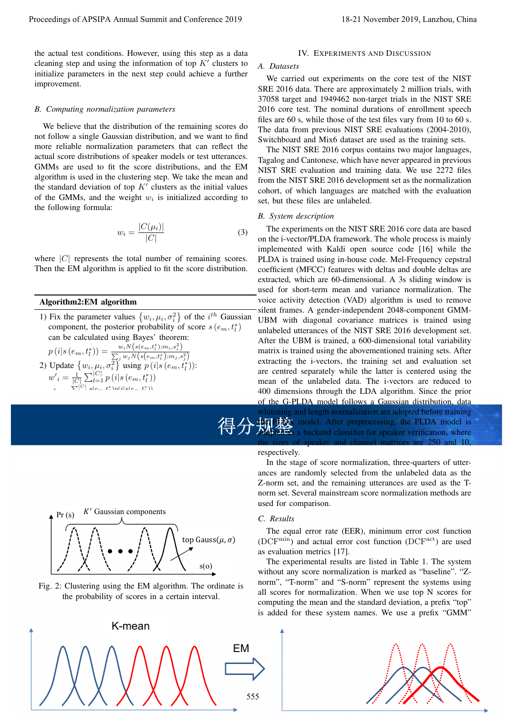the actual test conditions. However, using this step as a data cleaning step and using the information of top  $K'$  clusters to initialize parameters in the next step could achieve a further improvement.

## *B. Computing normalization parameters*

We believe that the distribution of the remaining scores do not follow a single Gaussian distribution, and we want to find more reliable normalization parameters that can reflect the actual score distributions of speaker models or test utterances. GMMs are used to fit the score distributions, and the EM algorithm is used in the clustering step. We take the mean and the standard deviation of top  $K'$  clusters as the initial values of the GMMs, and the weight  $w_i$  is initialized according to the following formula:

$$
w_i = \frac{|C(\mu_i)|}{|C|} \tag{3}
$$

where  $|C|$  represents the total number of remaining scores. Then the EM algorithm is applied to fit the score distribution.

## Algorithm2:EM algorithm

P|C<sup>|</sup> l=1 |s<br>1 |s(em,t∗ka)<br>1 |s(em,t∗ka)

1) Fix the parameter values  $\{w_i, \mu_i, \sigma_i^2\}$  of the  $i^{th}$  Gaussian component, the posterior probability of score  $s(e_m, t_l^*)$ can be calculated using Bayes' theorem:

p(in)<br>p(i)s(em,t∗k

))

2. Use the expression of the G

\n
$$
p(i|s (e_m, t_l^*)) = \frac{w_i N(s(e_m, t_l^*); m_i, s_i^2)}{\sum_j w_j N(s(e_m, t_l^*); m_j, s_j^2)}
$$
\n2. Update {*w*, μ<sub>i</sub>, σ<sub>i</sub><sup>2</sup>} using *p*(*i*|*s*(e\_m, t\_l^\*));

\n
$$
w'_{i} = \frac{1}{|C|} \sum_{l=1}^{|C|} p(i|s (e_m, t_l^*))
$$
\nEXECUTE:

\n
$$
w'_{i} = \frac{1}{|C|} \sum_{l=1}^{|C|} p(i|s (e_m, t_l^*))
$$
\nEXECUTE:

\n
$$
w'_{i} = \frac{1}{|C|} \sum_{l=1}^{|C|} p(i|s (e_m, t_l^*))
$$
\nand find the mean of the G

\nwhich is the sizes respectively. In the increase are Z-norm, is more very large.

\nEXECUTE:

\n
$$
P(r(s) = K' \text{ Gaussian components})
$$
\nEXECUTE:

\n
$$
P(r(s) = K' \text{ Gaussian components})
$$
\nEXECUTE:

\n
$$
P(r(s) = K' \text{ Gaussian components})
$$
\nEXECUTE:

\n
$$
P(r(s) = K' \text{ Gaussian components})
$$
\nEXECUTE:

\n
$$
P(r(s) = K' \text{ Gaussian components})
$$
\nEXECUTE:

\n
$$
P(r(s) = K' \text{ Gaussian components})
$$
\nEXECUTE:

\n
$$
P(r(s) = K' \text{ Gaussian components})
$$
\nEXECUTE:

\n
$$
P(r(s) = K' \text{ Gaussian components})
$$
\nEXECUTE:

\n
$$
P(r(s) = K' \text{ Gaussian components})
$$
\nEXECUTE:

\n
$$
P(r(s) = K' \text{ Gaussian components})
$$
\nEXECUTE:

\n
$$
P(r(s) = K' \text{ Gaussian components})
$$
\nEXECUTE:

\n
$$
P(r(s) = K' \text{ Gaussian components})
$$
\nEXECUTE:

\n
$$
P(r(s) = K' \text{ Gaussian components})
$$
\nEXECUTE:

\n<math display="</p>

)−µ 0 ] 2

3) Repeat step 1) and 2) until the models converge.



#### *A. Datasets*

We carried out experiments on the core test of the NIST SRE 2016 data. There are approximately 2 million trials, with 37058 target and 1949462 non-target trials in the NIST SRE 2016 core test. The nominal durations of enrollment speech files are 60 s, while those of the test files vary from 10 to 60 s. The data from previous NIST SRE evaluations (2004-2010), Switchboard and Mix6 dataset are used as the training sets.

The NIST SRE 2016 corpus contains two major languages, Tagalog and Cantonese, which have never appeared in previous NIST SRE evaluation and training data. We use 2272 files from the NIST SRE 2016 development set as the normalization cohort, of which languages are matched with the evaluation set, but these files are unlabeled.

#### *B. System description*

The experiments on the NIST SRE 2016 core data are based on the i-vector/PLDA framework. The whole process is mainly implemented with Kaldi open source code [16] while the PLDA is trained using in-house code. Mel-Frequency cepstral coefficient (MFCC) features with deltas and double deltas are extracted, which are 60-dimensional. A 3s sliding window is used for short-term mean and variance normalization. The voice activity detection (VAD) algorithm is used to remove silent frames. A gender-independent 2048-component GMM-UBM with diagonal covariance matrices is trained using unlabeled utterances of the NIST SRE 2016 development set. After the UBM is trained, a 600-dimensional total variability matrix is trained using the abovementioned training sets. After extracting the i-vectors, the training set and evaluation set are centred separately while the latter is centered using the mean of the unlabeled data. The i-vectors are reduced to 400 dimensions through the LDA algorithm. Since the prior of the G-PLDA model follows a Gaussian distribution, data Proceedings of APSIPA Annual Summit at China 551 November 2019<br>
In America conference 2019 18-21 November 2019 18-21 November 2019 18-21 November 2019 18-21 November 2019 18-21<br>
dentation of the summit and Summit and Summ

```
得分规整 model. After preprocessing, the PLDA model is
           whitening and length normalization are adopted before training
          the PLDA model. After preprocessing, the PLDA model is
```
#### respectively.

t<sub>7</sub>):<br>are centred separately while the latter is centered usin<br>mean of the unlabeled data. The i-vectors are reduced<br>mean of the unlabeled data. The i-vectors are reduced<br>400 dimensions through the LDA algorithm. Since In the stage of score normalization, three-quarters of utterances are randomly selected from the unlabeled data as the Z-norm set, and the remaining utterances are used as the Tnorm set. Several mainstream score normalization methods are used for comparison.

#### $K'$  Gaussian components *C. Results*

The equal error rate (EER), minimum error cost function (DCF<sup>min</sup>) and actual error cost function (DCF<sup>act</sup>) are used as evaluation metrics [17].

 $s$ (o) and the experimental results are fisted in Table 1. The system<br>without any score normalization is marked as "baseline". "Z-The experimental results are listed in Table 1. The system norm", "T-norm" and "S-norm" represent the systems using all scores for normalization. When we use top N scores for computing the mean and the standard deviation, a prefix "top" is added for these system names. We use a prefix "GMM"



Fig. 2: Clustering using the EM algorithm. The ordinate is the probability of scores in a certain interval.



are  $\overline{250}$  and  $\overline{10}$ ,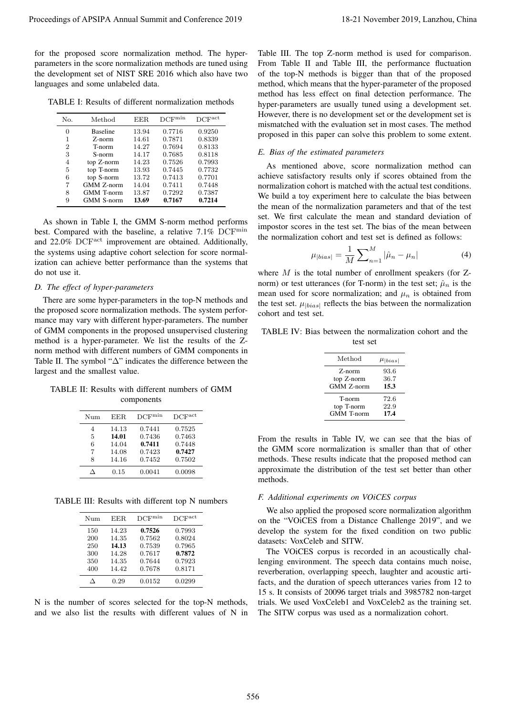for the proposed score normalization method. The hyperparameters in the score normalization methods are tuned using the development set of NIST SRE 2016 which also have two languages and some unlabeled data.

TABLE I: Results of different normalization methods

| No. | Method            | EER.  | DCF <sub>min</sub> | DCFact |
|-----|-------------------|-------|--------------------|--------|
| 0   | <b>Baseline</b>   | 13.94 | 0.7716             | 0.9250 |
| 1   | Z-norm            | 14.61 | 0.7871             | 0.8339 |
| 2   | T-norm            | 14.27 | 0.7694             | 0.8133 |
| 3   | S-norm            | 14.17 | 0.7685             | 0.8118 |
| 4   | top Z-norm        | 14.23 | 0.7526             | 0.7993 |
| 5   | top T-norm        | 13.93 | 0.7445             | 0.7732 |
| 6   | top S-norm        | 13.72 | 0.7413             | 0.7701 |
| 7   | <b>GMM Z-norm</b> | 14.04 | 0.7411             | 0.7448 |
| 8   | <b>GMM</b> T-norm | 13.87 | 0.7292             | 0.7387 |
| 9   | <b>GMM S-norm</b> | 13.69 | 0.7167             | 0.7214 |

As shown in Table I, the GMM S-norm method performs best. Compared with the baseline, a relative 7.1% DCF<sup>min</sup> and 22.0% DCF<sup>act</sup> improvement are obtained. Additionally, the systems using adaptive cohort selection for score normalization can achieve better performance than the systems that do not use it.

## *D. The effect of hyper-parameters*

There are some hyper-parameters in the top-N methods and the proposed score normalization methods. The system performance may vary with different hyper-parameters. The number of GMM components in the proposed unsupervised clustering method is a hyper-parameter. We list the results of the Znorm method with different numbers of GMM components in Table II. The symbol "∆" indicates the difference between the largest and the smallest value.

TABLE II: Results with different numbers of GMM components

| EER.  | DCF <sup>min</sup> | DCF <sub>act</sub> |
|-------|--------------------|--------------------|
| 14.13 | 0.7441             | 0.7525             |
| 14.01 | 0.7436             | 0.7463             |
| 14.04 | 0.7411             | 0.7448             |
| 14.08 | 0.7423             | 0.7427             |
| 14.16 | 0.7452             | 0.7502             |
| 0.15  | 0.0041             | 0.0098             |
|       |                    |                    |

TABLE III: Results with different top N numbers

| Num | EER.  | $DCF^{min}$ | DCF <sup>act</sup> |
|-----|-------|-------------|--------------------|
| 150 | 14.23 | 0.7526      | 0.7993             |
| 200 | 14.35 | 0.7562      | 0.8024             |
| 250 | 14.13 | 0.7539      | 0.7965             |
| 300 | 14.28 | 0.7617      | 0.7872             |
| 350 | 14.35 | 0.7644      | 0.7923             |
| 400 | 14.42 | 0.7678      | 0.8171             |
|     | 0.29  | 0.0152      | 0.0299             |

N is the number of scores selected for the top-N methods, and we also list the results with different values of N in

Table III. The top Z-norm method is used for comparison. From Table II and Table III, the performance fluctuation of the top-N methods is bigger than that of the proposed method, which means that the hyper-parameter of the proposed method has less effect on final detection performance. The hyper-parameters are usually tuned using a development set. However, there is no development set or the development set is mismatched with the evaluation set in most cases. The method proposed in this paper can solve this problem to some extent. Proceeding of APSIPA Annual Summit at China 566 11. The Proceeding Conference 2019 in the procedure of APSIPA Annual Summit and Conference 2019 in the Conference 2019 in the Conference 2019 in the Conference 2019 in the C

## *E. Bias of the estimated parameters*

As mentioned above, score normalization method can achieve satisfactory results only if scores obtained from the normalization cohort is matched with the actual test conditions. We build a toy experiment here to calculate the bias between the mean of the normalization parameters and that of the test set. We first calculate the mean and standard deviation of impostor scores in the test set. The bias of the mean between the normalization cohort and test set is defined as follows:

$$
\mu_{|bias|} = \frac{1}{M} \sum_{n=1}^{M} |\hat{\mu}_n - \mu_n|
$$
\n(4)

where  $M$  is the total number of enrollment speakers (for  $Z$ norm) or test utterances (for T-norm) in the test set;  $\hat{\mu}_n$  is the mean used for score normalization; and  $\mu_n$  is obtained from the test set.  $\mu_{\text{|\text{bias}|}}$  reflects the bias between the normalization cohort and test set.

| TABLE IV: Bias between the normalization cohort and the |          |  |  |
|---------------------------------------------------------|----------|--|--|
|                                                         | test set |  |  |

| Method            | $\mu_{ bias }$ |
|-------------------|----------------|
| Z-norm            | 93.6           |
| top Z-norm        | 36.7           |
| <b>GMM Z-norm</b> | 15.3           |
| T-norm            | 72.6           |
| top T-norm        | 22.9           |
| <b>GMM</b> T-norm | 17.4           |

From the results in Table IV, we can see that the bias of the GMM score normalization is smaller than that of other methods. These results indicate that the proposed method can approximate the distribution of the test set better than other methods.

## *F. Additional experiments on VOiCES corpus*

We also applied the proposed score normalization algorithm on the "VOiCES from a Distance Challenge 2019", and we develop the system for the fixed condition on two public datasets: VoxCeleb and SITW.

The VOiCES corpus is recorded in an acoustically challenging environment. The speech data contains much noise, reverberation, overlapping speech, laughter and acoustic artifacts, and the duration of speech utterances varies from 12 to 15 s. It consists of 20096 target trials and 3985782 non-target trials. We used VoxCeleb1 and VoxCeleb2 as the training set. The SITW corpus was used as a normalization cohort.